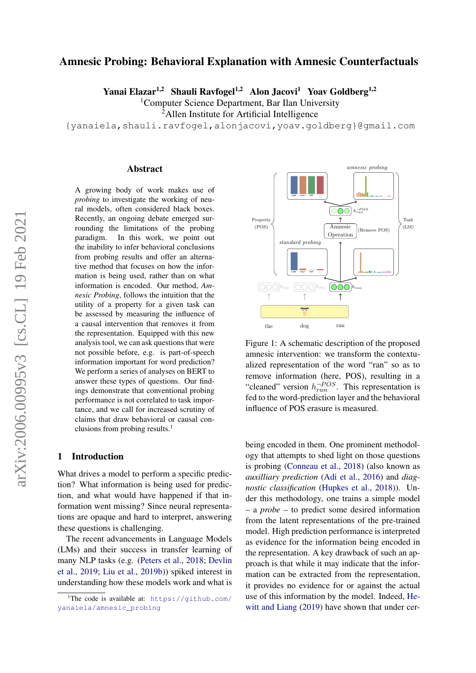# Amnesic Probing: Behavioral Explanation with Amnesic Counterfactuals

Yanai Elazar<sup>1,2</sup> Shauli Ravfogel<sup>1,2</sup> Alon Jacovi<sup>1</sup> Yoav Goldberg<sup>1,2</sup>

<sup>1</sup>Computer Science Department, Bar Ilan University

<sup>2</sup>Allen Institute for Artificial Intelligence

{yanaiela,shauli.ravfogel,alonjacovi,yoav.goldberg}@gmail.com

#### Abstract

A growing body of work makes use of *probing* to investigate the working of neural models, often considered black boxes. Recently, an ongoing debate emerged surrounding the limitations of the probing paradigm. In this work, we point out the inability to infer behavioral conclusions from probing results and offer an alternative method that focuses on how the information is being used, rather than on what information is encoded. Our method, *Amnesic Probing*, follows the intuition that the utility of a property for a given task can be assessed by measuring the influence of a causal intervention that removes it from the representation. Equipped with this new analysis tool, we can ask questions that were not possible before, e.g. is part-of-speech information important for word prediction? We perform a series of analyses on BERT to answer these types of questions. Our findings demonstrate that conventional probing performance is not correlated to task importance, and we call for increased scrutiny of claims that draw behavioral or causal con-clusions from probing results.<sup>[1](#page-0-0)</sup>

### 1 Introduction

What drives a model to perform a specific prediction? What information is being used for prediction, and what would have happened if that information went missing? Since neural representations are opaque and hard to interpret, answering these questions is challenging.

The recent advancements in Language Models (LMs) and their success in transfer learning of many NLP tasks (e.g. [\(Peters et al.,](#page-12-0) [2018;](#page-12-0) [Devlin](#page-11-0) [et al.,](#page-11-0) [2019;](#page-11-0) [Liu et al.,](#page-12-1) [2019b\)](#page-12-1)) spiked interest in understanding how these models work and what is

<span id="page-0-1"></span>

Figure 1: A schematic description of the proposed amnesic intervention: we transform the contextualized representation of the word "ran" so as to remove information (here, POS), resulting in a "cleaned" version  $h_{ran}^{-POS}$ . This representation is fed to the word-prediction layer and the behavioral influence of POS erasure is measured.

being encoded in them. One prominent methodology that attempts to shed light on those questions is probing [\(Conneau et al.,](#page-11-1) [2018\)](#page-11-1) (also known as *auxilliary prediction* [\(Adi et al.,](#page-11-2) [2016\)](#page-11-2) and *diagnostic classification* [\(Hupkes et al.,](#page-12-2) [2018\)](#page-12-2)). Under this methodology, one trains a simple model – a *probe* – to predict some desired information from the latent representations of the pre-trained model. High prediction performance is interpreted as evidence for the information being encoded in the representation. A key drawback of such an approach is that while it may indicate that the information can be extracted from the representation, it provides no evidence for or against the actual use of this information by the model. Indeed, [He](#page-11-3)[witt and Liang](#page-11-3) [\(2019\)](#page-11-3) have shown that under cer-

<span id="page-0-0"></span><sup>&</sup>lt;sup>1</sup>The code is available at: [https://github.com/](https://github.com/yanaiela/amnesic_probing) [yanaiela/amnesic\\_probing](https://github.com/yanaiela/amnesic_probing)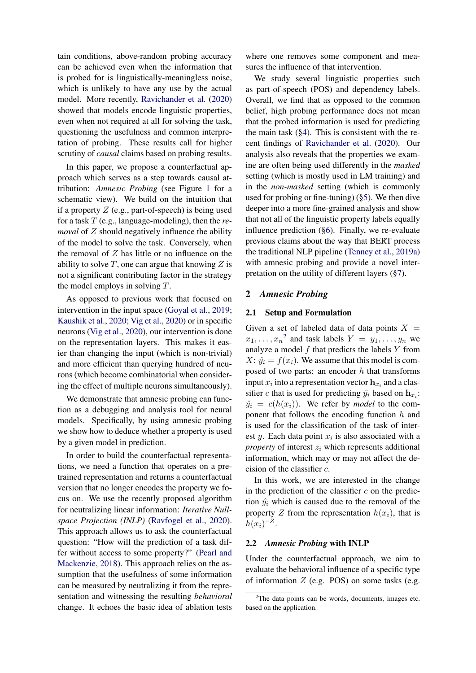tain conditions, above-random probing accuracy can be achieved even when the information that is probed for is linguistically-meaningless noise, which is unlikely to have any use by the actual model. More recently, [Ravichander et al.](#page-12-3) [\(2020\)](#page-12-3) showed that models encode linguistic properties, even when not required at all for solving the task, questioning the usefulness and common interpretation of probing. These results call for higher scrutiny of *causal* claims based on probing results.

In this paper, we propose a counterfactual approach which serves as a step towards causal attribution: *Amnesic Probing* (see Figure [1](#page-0-1) for a schematic view). We build on the intuition that if a property  $Z$  (e.g., part-of-speech) is being used for a task T (e.g., language-modeling), then the *removal* of Z should negatively influence the ability of the model to solve the task. Conversely, when the removal of  $Z$  has little or no influence on the ability to solve  $T$ , one can argue that knowing  $Z$  is not a significant contributing factor in the strategy the model employs in solving T.

As opposed to previous work that focused on intervention in the input space [\(Goyal et al.,](#page-11-4) [2019;](#page-11-4) [Kaushik et al.,](#page-12-4) [2020;](#page-12-4) [Vig et al.,](#page-13-0) [2020\)](#page-13-0) or in specific neurons [\(Vig et al.,](#page-13-0) [2020\)](#page-13-0), our intervention is done on the representation layers. This makes it easier than changing the input (which is non-trivial) and more efficient than querying hundred of neurons (which become combinatorial when considering the effect of multiple neurons simultaneously).

We demonstrate that amnesic probing can function as a debugging and analysis tool for neural models. Specifically, by using amnesic probing we show how to deduce whether a property is used by a given model in prediction.

In order to build the counterfactual representations, we need a function that operates on a pretrained representation and returns a counterfactual version that no longer encodes the property we focus on. We use the recently proposed algorithm for neutralizing linear information: *Iterative Nullspace Projection (INLP)* [\(Ravfogel et al.,](#page-12-5) [2020\)](#page-12-5). This approach allows us to ask the counterfactual question: "How will the prediction of a task differ without access to some property?" [\(Pearl and](#page-12-6) [Mackenzie,](#page-12-6) [2018\)](#page-12-6). This approach relies on the assumption that the usefulness of some information can be measured by neutralizing it from the representation and witnessing the resulting *behavioral* change. It echoes the basic idea of ablation tests

where one removes some component and measures the influence of that intervention.

We study several linguistic properties such as part-of-speech (POS) and dependency labels. Overall, we find that as opposed to the common belief, high probing performance does not mean that the probed information is used for predicting the main task  $(\S 4)$ . This is consistent with the recent findings of [Ravichander et al.](#page-12-3) [\(2020\)](#page-12-3). Our analysis also reveals that the properties we examine are often being used differently in the *masked* setting (which is mostly used in LM training) and in the *non-masked* setting (which is commonly used for probing or fine-tuning) ([§5\)](#page-4-0). We then dive deeper into a more fine-grained analysis and show that not all of the linguistic property labels equally influence prediction ([§6\)](#page-6-0). Finally, we re-evaluate previous claims about the way that BERT process the traditional NLP pipeline [\(Tenney et al.,](#page-13-1) [2019a\)](#page-13-1) with amnesic probing and provide a novel interpretation on the utility of different layers ([§7\)](#page-7-0).

#### <span id="page-1-1"></span>2 *Amnesic Probing*

### 2.1 Setup and Formulation

Given a set of labeled data of data points  $X =$  $x_1, \ldots, x_n^2$  $x_1, \ldots, x_n^2$  and task labels  $Y = y_1, \ldots, y_n$  we analyze a model  $f$  that predicts the labels  $Y$  from  $X: \hat{y}_i = f(x_i)$ . We assume that this model is composed of two parts: an encoder  $h$  that transforms input  $x_i$  into a representation vector  $\mathbf{h}_{x_i}$  and a classifier c that is used for predicting  $\hat{y}_i$  based on  $\mathbf{h}_{x_i}$ :  $\hat{y}_i = c(h(x_i))$ . We refer by *model* to the component that follows the encoding function  $h$  and is used for the classification of the task of interest y. Each data point  $x_i$  is also associated with a *property* of interest  $z_i$  which represents additional information, which may or may not affect the decision of the classifier c.

In this work, we are interested in the change in the prediction of the classifier  $c$  on the prediction  $\hat{y}_i$  which is caused due to the removal of the property Z from the representation  $h(x_i)$ , that is  $h(x_i)^{-Z}$ .

# 2.2 *Amnesic Probing* with INLP

Under the counterfactual approach, we aim to evaluate the behavioral influence of a specific type of information  $Z$  (e.g. POS) on some tasks (e.g.

<span id="page-1-0"></span> $2$ The data points can be words, documents, images etc. based on the application.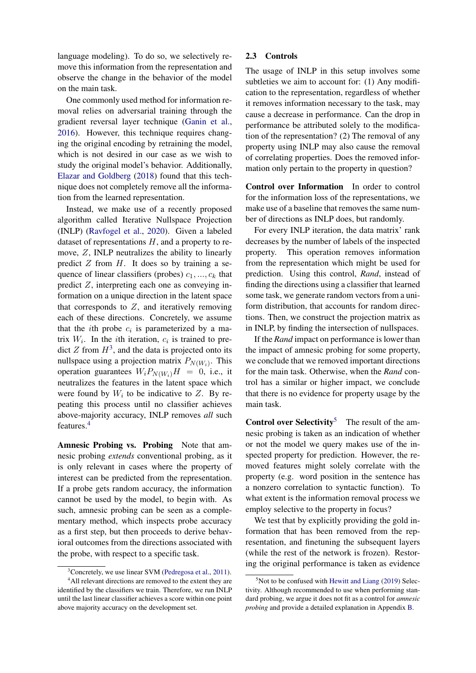language modeling). To do so, we selectively remove this information from the representation and observe the change in the behavior of the model on the main task.

One commonly used method for information removal relies on adversarial training through the gradient reversal layer technique [\(Ganin et al.,](#page-11-5) [2016\)](#page-11-5). However, this technique requires changing the original encoding by retraining the model, which is not desired in our case as we wish to study the original model's behavior. Additionally, [Elazar and Goldberg](#page-11-6) [\(2018\)](#page-11-6) found that this technique does not completely remove all the information from the learned representation.

Instead, we make use of a recently proposed algorithm called Iterative Nullspace Projection (INLP) [\(Ravfogel et al.,](#page-12-5) [2020\)](#page-12-5). Given a labeled dataset of representations  $H$ , and a property to remove,  $Z$ , INLP neutralizes the ability to linearly predict  $Z$  from  $H$ . It does so by training a sequence of linear classifiers (probes)  $c_1, ..., c_k$  that predict  $Z$ , interpreting each one as conveying information on a unique direction in the latent space that corresponds to  $Z$ , and iteratively removing each of these directions. Concretely, we assume that the *i*th probe  $c_i$  is parameterized by a matrix  $W_i$ . In the *i*th iteration,  $c_i$  is trained to predict Z from  $H^3$  $H^3$ , and the data is projected onto its nullspace using a projection matrix  $P_{N(W_i)}$ . This operation guarantees  $W_i P_{N(W_i)} H = 0$ , i.e., it neutralizes the features in the latent space which were found by  $W_i$  to be indicative to Z. By repeating this process until no classifier achieves above-majority accuracy, INLP removes *all* such features.[4](#page-2-1)

Amnesic Probing vs. Probing Note that amnesic probing *extends* conventional probing, as it is only relevant in cases where the property of interest can be predicted from the representation. If a probe gets random accuracy, the information cannot be used by the model, to begin with. As such, amnesic probing can be seen as a complementary method, which inspects probe accuracy as a first step, but then proceeds to derive behavioral outcomes from the directions associated with the probe, with respect to a specific task.

### <span id="page-2-3"></span>2.3 Controls

The usage of INLP in this setup involves some subtleties we aim to account for: (1) Any modification to the representation, regardless of whether it removes information necessary to the task, may cause a decrease in performance. Can the drop in performance be attributed solely to the modification of the representation? (2) The removal of any property using INLP may also cause the removal of correlating properties. Does the removed information only pertain to the property in question?

Control over Information In order to control for the information loss of the representations, we make use of a baseline that removes the same number of directions as INLP does, but randomly.

For every INLP iteration, the data matrix' rank decreases by the number of labels of the inspected property. This operation removes information from the representation which might be used for prediction. Using this control, *Rand*, instead of finding the directions using a classifier that learned some task, we generate random vectors from a uniform distribution, that accounts for random directions. Then, we construct the projection matrix as in INLP, by finding the intersection of nullspaces.

If the *Rand* impact on performance is lower than the impact of amnesic probing for some property, we conclude that we removed important directions for the main task. Otherwise, when the *Rand* control has a similar or higher impact, we conclude that there is no evidence for property usage by the main task.

**Control over Selectivity<sup>[5](#page-2-2)</sup>** The result of the amnesic probing is taken as an indication of whether or not the model we query makes use of the inspected property for prediction. However, the removed features might solely correlate with the property (e.g. word position in the sentence has a nonzero correlation to syntactic function). To what extent is the information removal process we employ selective to the property in focus?

We test that by explicitly providing the gold information that has been removed from the representation, and finetuning the subsequent layers (while the rest of the network is frozen). Restoring the original performance is taken as evidence

<span id="page-2-1"></span><span id="page-2-0"></span> $3$ Concretely, we use linear SVM [\(Pedregosa et al.,](#page-12-7) [2011\)](#page-12-7). <sup>4</sup>All relevant directions are removed to the extent they are

identified by the classifiers we train. Therefore, we run INLP until the last linear classifier achieves a score within one point above majority accuracy on the development set.

<span id="page-2-2"></span> $5$ Not to be confused with [Hewitt and Liang](#page-11-3) [\(2019\)](#page-11-3) Selectivity. Although recommended to use when performing standard probing, we argue it does not fit as a control for *amnesic probing* and provide a detailed explanation in Appendix [B.](#page-14-0)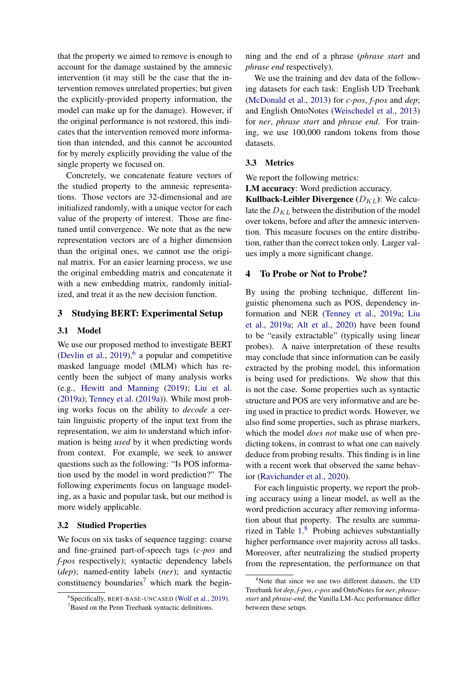that the property we aimed to remove is enough to account for the damage sustained by the amnesic intervention (it may still be the case that the intervention removes unrelated properties; but given the explicitly-provided property information, the model can make up for the damage). However, if the original performance is not restored, this indicates that the intervention removed more information than intended, and this cannot be accounted for by merely explicitly providing the value of the single property we focused on.

Concretely, we concatenate feature vectors of the studied property to the amnesic representations. Those vectors are 32-dimensional and are initialized randomly, with a unique vector for each value of the property of interest. Those are finetuned until convergence. We note that as the new representation vectors are of a higher dimension than the original ones, we cannot use the original matrix. For an easier learning process, we use the original embedding matrix and concatenate it with a new embedding matrix, randomly initialized, and treat it as the new decision function.

# 3 Studying BERT: Experimental Setup

### 3.1 Model

We use our proposed method to investigate BERT [\(Devlin et al.,](#page-11-0)  $2019$ ),  $6$  a popular and competitive masked language model (MLM) which has recently been the subject of many analysis works (e.g., [Hewitt and Manning](#page-11-7) [\(2019\)](#page-11-7); [Liu et al.](#page-12-8) [\(2019a\)](#page-12-8); [Tenney et al.](#page-13-1) [\(2019a\)](#page-13-1)). While most probing works focus on the ability to *decode* a certain linguistic property of the input text from the representation, we aim to understand which information is being *used* by it when predicting words from context. For example, we seek to answer questions such as the following: "Is POS information used by the model in word prediction?" The following experiments focus on language modeling, as a basic and popular task, but our method is more widely applicable.

#### 3.2 Studied Properties

We focus on six tasks of sequence tagging: coarse and fine-grained part-of-speech tags (*c-pos* and *f-pos* respectively); syntactic dependency labels (*dep*); named-entity labels (*ner*); and syntactic constituency boundaries<sup>[7](#page-3-2)</sup> which mark the begin-

ning and the end of a phrase (*phrase start* and *phrase end* respectively).

We use the training and dev data of the following datasets for each task: English UD Treebank [\(McDonald et al.,](#page-12-9) [2013\)](#page-12-9) for *c-pos*, *f-pos* and *dep*; and English OntoNotes [\(Weischedel et al.,](#page-13-3) [2013\)](#page-13-3) for *ner*, *phrase start* and *phrase end*. For training, we use 100,000 random tokens from those datasets.

### 3.3 Metrics

We report the following metrics:

LM accuracy: Word prediction accuracy.

Kullback-Leibler Divergence  $(D_{KL})$ : We calculate the  $D_{KL}$  between the distribution of the model over tokens, before and after the amnesic intervention. This measure focuses on the entire distribution, rather than the correct token only. Larger values imply a more significant change.

#### <span id="page-3-0"></span>4 To Probe or Not to Probe?

By using the probing technique, different linguistic phenomena such as POS, dependency information and NER [\(Tenney et al.,](#page-13-1) [2019a;](#page-13-1) [Liu](#page-12-8) [et al.,](#page-12-8) [2019a;](#page-12-8) [Alt et al.,](#page-11-8) [2020\)](#page-11-8) have been found to be "easily extractable" (typically using linear probes). A naive interpretation of these results may conclude that since information can be easily extracted by the probing model, this information is being used for predictions. We show that this is not the case. Some properties such as syntactic structure and POS are very informative and are being used in practice to predict words. However, we also find some properties, such as phrase markers, which the model *does not* make use of when predicting tokens, in contrast to what one can naively deduce from probing results. This finding is in line with a recent work that observed the same behavior [\(Ravichander et al.,](#page-12-3) [2020\)](#page-12-3).

For each linguistic property, we report the probing accuracy using a linear model, as well as the word prediction accuracy after removing information about that property. The results are summarized in Table [1.](#page-4-1) [8](#page-3-3) Probing achieves substantially higher performance over majority across all tasks. Moreover, after neutralizing the studied property from the representation, the performance on that

<span id="page-3-1"></span><sup>6</sup> Specifically, BERT-BASE-UNCASED [\(Wolf et al.,](#page-13-2) [2019\)](#page-13-2).

<span id="page-3-2"></span><sup>7</sup>Based on the Penn Treebank syntactic definitions.

<span id="page-3-3"></span> $8$ Note that since we use two different datasets, the UD Treebank for *dep*, *f-pos*, *c-pos* and OntoNotes for *ner*, *phrasestart* and *phrase-end*, the Vanilla LM-Acc performance differ between these setups.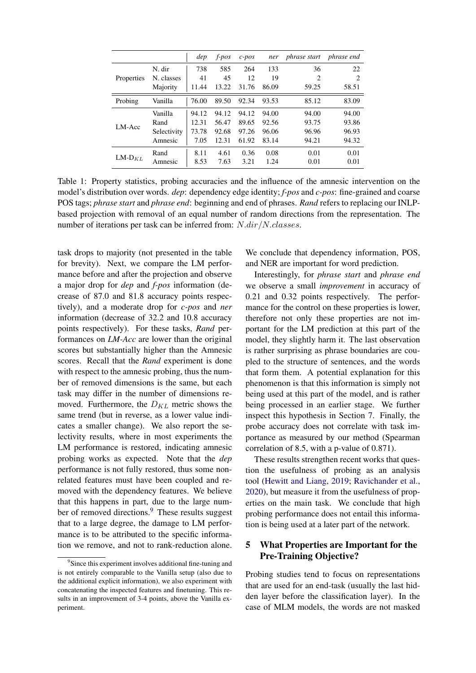<span id="page-4-1"></span>

|                   |             | dep   | $f$ -pos | $c$ -pos | ner   | phrase start phrase end |       |
|-------------------|-------------|-------|----------|----------|-------|-------------------------|-------|
| <b>Properties</b> | N. dir      | 738   | 585      | 264      | 133   | 36                      | 22    |
|                   | N. classes  | 41    | 45       | 12       | 19    | 2                       | 2     |
|                   | Majority    | 11.44 | 13.22    | 31.76    | 86.09 | 59.25                   | 58.51 |
| Probing           | Vanilla     | 76.00 | 89.50    | 92.34    | 93.53 | 85.12                   | 83.09 |
| LM-Acc            | Vanilla     | 94.12 | 94.12    | 94.12    | 94.00 | 94.00                   | 94.00 |
|                   | Rand        | 12.31 | 56.47    | 89.65    | 92.56 | 93.75                   | 93.86 |
|                   | Selectivity | 73.78 | 92.68    | 97.26    | 96.06 | 96.96                   | 96.93 |
|                   | Amnesic     | 7.05  | 12.31    | 61.92    | 83.14 | 94.21                   | 94.32 |
| $LM-DKL$          | Rand        | 8.11  | 4.61     | 0.36     | 0.08  | 0.01                    | 0.01  |
|                   | Amnesic     | 8.53  | 7.63     | 3.21     | 1.24  | 0.01                    | 0.01  |

Table 1: Property statistics, probing accuracies and the influence of the amnesic intervention on the model's distribution over words. *dep*: dependency edge identity; *f-pos* and *c-pos*: fine-grained and coarse POS tags; *phrase start* and *phrase end*: beginning and end of phrases. *Rand* refers to replacing our INLPbased projection with removal of an equal number of random directions from the representation. The number of iterations per task can be inferred from: N.dir/N.classes.

task drops to majority (not presented in the table for brevity). Next, we compare the LM performance before and after the projection and observe a major drop for *dep* and *f-pos* information (decrease of 87.0 and 81.8 accuracy points respectively), and a moderate drop for *c-pos* and *ner* information (decrease of 32.2 and 10.8 accuracy points respectively). For these tasks, *Rand* performances on *LM-Acc* are lower than the original scores but substantially higher than the Amnesic scores. Recall that the *Rand* experiment is done with respect to the amnesic probing, thus the number of removed dimensions is the same, but each task may differ in the number of dimensions removed. Furthermore, the  $D_{KL}$  metric shows the same trend (but in reverse, as a lower value indicates a smaller change). We also report the selectivity results, where in most experiments the LM performance is restored, indicating amnesic probing works as expected. Note that the *dep* performance is not fully restored, thus some nonrelated features must have been coupled and removed with the dependency features. We believe that this happens in part, due to the large num-ber of removed directions.<sup>[9](#page-4-2)</sup> These results suggest that to a large degree, the damage to LM performance is to be attributed to the specific information we remove, and not to rank-reduction alone.

We conclude that dependency information, POS, and NER are important for word prediction.

Interestingly, for *phrase start* and *phrase end* we observe a small *improvement* in accuracy of 0.21 and 0.32 points respectively. The performance for the control on these properties is lower, therefore not only these properties are not important for the LM prediction at this part of the model, they slightly harm it. The last observation is rather surprising as phrase boundaries are coupled to the structure of sentences, and the words that form them. A potential explanation for this phenomenon is that this information is simply not being used at this part of the model, and is rather being processed in an earlier stage. We further inspect this hypothesis in Section [7.](#page-7-0) Finally, the probe accuracy does not correlate with task importance as measured by our method (Spearman correlation of 8.5, with a p-value of 0.871).

These results strengthen recent works that question the usefulness of probing as an analysis tool [\(Hewitt and Liang,](#page-11-3) [2019;](#page-11-3) [Ravichander et al.,](#page-12-3) [2020\)](#page-12-3), but measure it from the usefulness of properties on the main task. We conclude that high probing performance does not entail this information is being used at a later part of the network.

# <span id="page-4-0"></span>5 What Properties are Important for the Pre-Training Objective?

Probing studies tend to focus on representations that are used for an end-task (usually the last hidden layer before the classification layer). In the case of MLM models, the words are not masked

<span id="page-4-2"></span><sup>&</sup>lt;sup>9</sup>Since this experiment involves additional fine-tuning and is not entirely comparable to the Vanilla setup (also due to the additional explicit information), we also experiment with concatenating the inspected features and finetuning. This results in an improvement of 3-4 points, above the Vanilla experiment.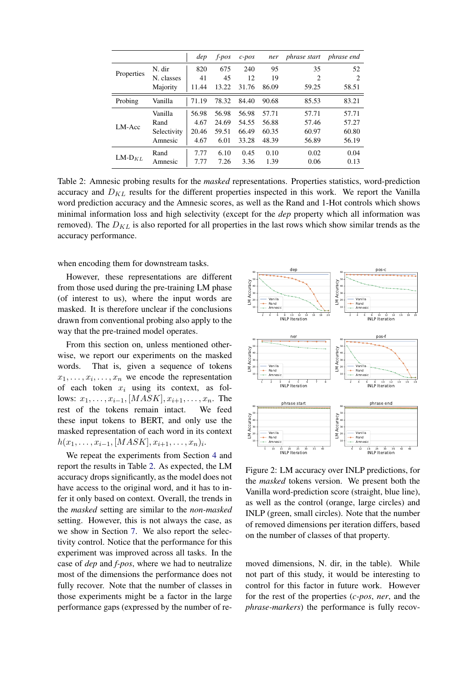<span id="page-5-0"></span>

|              |             | dep   | $f$ -pos | $c$ -pos | ner   | phrase start   | <i>phrase end</i> |
|--------------|-------------|-------|----------|----------|-------|----------------|-------------------|
| Properties   | N. dir      | 820   | 675      | 240      | 95    | 35             | 52                |
|              | N. classes  | 41    | 45       | 12       | 19    | $\overline{c}$ | 2                 |
|              | Majority    | 11.44 | 13.22    | 31.76    | 86.09 | 59.25          | 58.51             |
| Probing      | Vanilla     | 71.19 | 78.32    | 84.40    | 90.68 | 85.53          | 83.21             |
| LM-Acc       | Vanilla     | 56.98 | 56.98    | 56.98    | 57.71 | 57.71          | 57.71             |
|              | Rand        | 4.67  | 24.69    | 54.55    | 56.88 | 57.46          | 57.27             |
|              | Selectivity | 20.46 | 59.51    | 66.49    | 60.35 | 60.97          | 60.80             |
|              | Amnesic     | 4.67  | 6.01     | 33.28    | 48.39 | 56.89          | 56.19             |
| LM- $D_{KL}$ | Rand        | 7.77  | 6.10     | 0.45     | 0.10  | 0.02           | 0.04              |
|              | Amnesic     | 7.77  | 7.26     | 3.36     | 1.39  | 0.06           | 0.13              |

Table 2: Amnesic probing results for the *masked* representations. Properties statistics, word-prediction accuracy and  $D_{KL}$  results for the different properties inspected in this work. We report the Vanilla word prediction accuracy and the Amnesic scores, as well as the Rand and 1-Hot controls which shows minimal information loss and high selectivity (except for the *dep* property which all information was removed). The  $D_{KL}$  is also reported for all properties in the last rows which show similar trends as the accuracy performance.

when encoding them for downstream tasks.

However, these representations are different from those used during the pre-training LM phase (of interest to us), where the input words are masked. It is therefore unclear if the conclusions drawn from conventional probing also apply to the way that the pre-trained model operates.

From this section on, unless mentioned otherwise, we report our experiments on the masked words. That is, given a sequence of tokens  $x_1, \ldots, x_i, \ldots, x_n$  we encode the representation of each token  $x_i$  using its context, as follows:  $x_1, \ldots, x_{i-1}$ , [*MASK*],  $x_{i+1}, \ldots, x_n$ . The rest of the tokens remain intact. We feed these input tokens to BERT, and only use the masked representation of each word in its context  $h(x_1, \ldots, x_{i-1}, [MASK], x_{i+1}, \ldots, x_n)_i.$ 

We repeat the experiments from Section [4](#page-3-0) and report the results in Table [2.](#page-5-0) As expected, the LM accuracy drops significantly, as the model does not have access to the original word, and it has to infer it only based on context. Overall, the trends in the *masked* setting are similar to the *non-masked* setting. However, this is not always the case, as we show in Section [7.](#page-7-0) We also report the selectivity control. Notice that the performance for this experiment was improved across all tasks. In the case of *dep* and *f-pos*, where we had to neutralize most of the dimensions the performance does not fully recover. Note that the number of classes in those experiments might be a factor in the large performance gaps (expressed by the number of re-

<span id="page-5-1"></span>

Figure 2: LM accuracy over INLP predictions, for the *masked* tokens version. We present both the Vanilla word-prediction score (straight, blue line), as well as the control (orange, large circles) and INLP (green, small circles). Note that the number of removed dimensions per iteration differs, based on the number of classes of that property.

moved dimensions, N. dir, in the table). While not part of this study, it would be interesting to control for this factor in future work. However for the rest of the properties (*c-pos*, *ner*, and the *phrase-markers*) the performance is fully recov-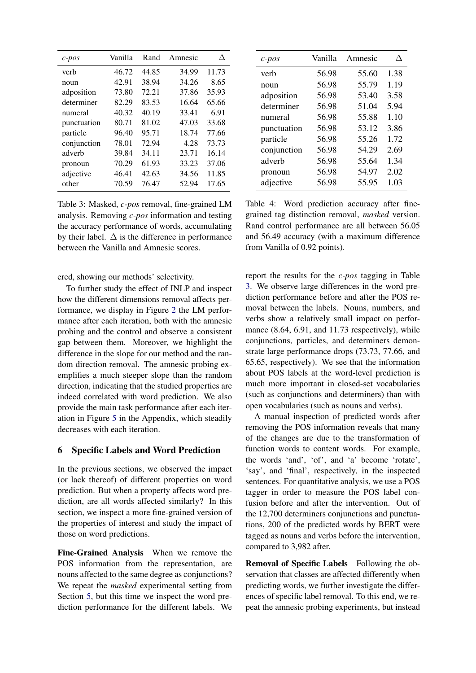<span id="page-6-1"></span>

| $c$ -pos    | Vanilla | Rand  | Amnesic |       |
|-------------|---------|-------|---------|-------|
| verb        | 46.72   | 44.85 | 34.99   | 11.73 |
| noun        | 42.91   | 38.94 | 34.26   | 8.65  |
| adposition  | 73.80   | 72.21 | 37.86   | 35.93 |
| determiner  | 82.29   | 83.53 | 16.64   | 65.66 |
| numeral     | 40.32   | 40.19 | 33.41   | 6.91  |
| punctuation | 80.71   | 81.02 | 47.03   | 33.68 |
| particle    | 96.40   | 95.71 | 18.74   | 77.66 |
| conjunction | 78.01   | 72.94 | 4.28    | 73.73 |
| adverb      | 39.84   | 34.11 | 23.71   | 16.14 |
| pronoun     | 70.29   | 61.93 | 33.23   | 37.06 |
| adjective   | 46.41   | 42.63 | 34.56   | 11.85 |
| other       | 70.59   | 76.47 | 52.94   | 17.65 |

Table 3: Masked, *c-pos* removal, fine-grained LM analysis. Removing *c-pos* information and testing the accuracy performance of words, accumulating by their label.  $\Delta$  is the difference in performance between the Vanilla and Amnesic scores.

ered, showing our methods' selectivity.

To further study the effect of INLP and inspect how the different dimensions removal affects performance, we display in Figure [2](#page-5-1) the LM performance after each iteration, both with the amnesic probing and the control and observe a consistent gap between them. Moreover, we highlight the difference in the slope for our method and the random direction removal. The amnesic probing exemplifies a much steeper slope than the random direction, indicating that the studied properties are indeed correlated with word prediction. We also provide the main task performance after each iteration in Figure [5](#page-14-1) in the Appendix, which steadily decreases with each iteration.

## <span id="page-6-0"></span>6 Specific Labels and Word Prediction

In the previous sections, we observed the impact (or lack thereof) of different properties on word prediction. But when a property affects word prediction, are all words affected similarly? In this section, we inspect a more fine-grained version of the properties of interest and study the impact of those on word predictions.

Fine-Grained Analysis When we remove the POS information from the representation, are nouns affected to the same degree as conjunctions? We repeat the *masked* experimental setting from Section [5,](#page-4-0) but this time we inspect the word prediction performance for the different labels. We

<span id="page-6-2"></span>

| $c$ -pos    | Vanilla | Amnesic | ∧    |
|-------------|---------|---------|------|
| verb        | 56.98   | 55.60   | 1.38 |
| noun        | 56.98   | 55.79   | 1.19 |
| adposition  | 56.98   | 53.40   | 3.58 |
| determiner  | 56.98   | 51.04   | 5.94 |
| numeral     | 56.98   | 55.88   | 1.10 |
| punctuation | 56.98   | 53.12   | 3.86 |
| particle    | 56.98   | 55.26   | 1.72 |
| conjunction | 56.98   | 54.29   | 2.69 |
| adverb      | 56.98   | 55.64   | 1.34 |
| pronoun     | 56.98   | 54.97   | 2.02 |
| adjective   | 56.98   | 55.95   | 1.03 |

Table 4: Word prediction accuracy after finegrained tag distinction removal, *masked* version. Rand control performance are all between 56.05 and 56.49 accuracy (with a maximum difference from Vanilla of 0.92 points).

report the results for the *c-pos* tagging in Table [3.](#page-6-1) We observe large differences in the word prediction performance before and after the POS removal between the labels. Nouns, numbers, and verbs show a relatively small impact on performance (8.64, 6.91, and 11.73 respectively), while conjunctions, particles, and determiners demonstrate large performance drops (73.73, 77.66, and 65.65, respectively). We see that the information about POS labels at the word-level prediction is much more important in closed-set vocabularies (such as conjunctions and determiners) than with open vocabularies (such as nouns and verbs).

A manual inspection of predicted words after removing the POS information reveals that many of the changes are due to the transformation of function words to content words. For example, the words 'and', 'of', and 'a' become 'rotate', 'say', and 'final', respectively, in the inspected sentences. For quantitative analysis, we use a POS tagger in order to measure the POS label confusion before and after the intervention. Out of the 12,700 determiners conjunctions and punctuations, 200 of the predicted words by BERT were tagged as nouns and verbs before the intervention, compared to 3,982 after.

Removal of Specific Labels Following the observation that classes are affected differently when predicting words, we further investigate the differences of specific label removal. To this end, we repeat the amnesic probing experiments, but instead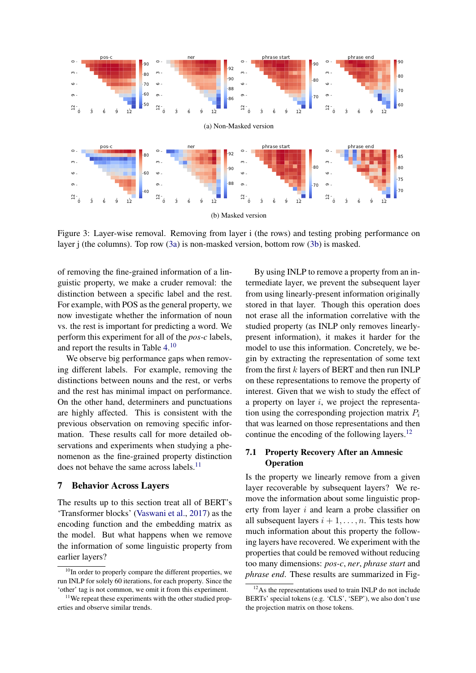<span id="page-7-6"></span><span id="page-7-2"></span><span id="page-7-1"></span>

Figure 3: Layer-wise removal. Removing from layer i (the rows) and testing probing performance on layer j (the columns). Top row [\(3a\)](#page-7-1) is non-masked version, bottom row [\(3b\)](#page-7-2) is masked.

of removing the fine-grained information of a linguistic property, we make a cruder removal: the distinction between a specific label and the rest. For example, with POS as the general property, we now investigate whether the information of noun vs. the rest is important for predicting a word. We perform this experiment for all of the *pos-c* labels, and report the results in Table [4.](#page-6-2)<sup>[10](#page-7-3)</sup>

We observe big performance gaps when removing different labels. For example, removing the distinctions between nouns and the rest, or verbs and the rest has minimal impact on performance. On the other hand, determiners and punctuations are highly affected. This is consistent with the previous observation on removing specific information. These results call for more detailed observations and experiments when studying a phenomenon as the fine-grained property distinction does not behave the same across labels.<sup>[11](#page-7-4)</sup>

#### <span id="page-7-0"></span>7 Behavior Across Layers

The results up to this section treat all of BERT's 'Transformer blocks' [\(Vaswani et al.,](#page-13-4) [2017\)](#page-13-4) as the encoding function and the embedding matrix as the model. But what happens when we remove the information of some linguistic property from earlier layers?

By using INLP to remove a property from an intermediate layer, we prevent the subsequent layer from using linearly-present information originally stored in that layer. Though this operation does not erase all the information correlative with the studied property (as INLP only removes linearlypresent information), it makes it harder for the model to use this information. Concretely, we begin by extracting the representation of some text from the first  $k$  layers of BERT and then run INLP on these representations to remove the property of interest. Given that we wish to study the effect of a property on layer  $i$ , we project the representation using the corresponding projection matrix  $P_i$ that was learned on those representations and then continue the encoding of the following layers.<sup>[12](#page-7-5)</sup>

# <span id="page-7-7"></span>7.1 Property Recovery After an Amnesic **Operation**

Is the property we linearly remove from a given layer recoverable by subsequent layers? We remove the information about some linguistic property from layer i and learn a probe classifier on all subsequent layers  $i + 1, \ldots, n$ . This tests how much information about this property the following layers have recovered. We experiment with the properties that could be removed without reducing too many dimensions: *pos-c*, *ner*, *phrase start* and *phrase end*. These results are summarized in Fig-

<span id="page-7-3"></span> $10$ In order to properly compare the different properties, we run INLP for solely 60 iterations, for each property. Since the 'other' tag is not common, we omit it from this experiment.

<span id="page-7-4"></span><sup>&</sup>lt;sup>11</sup>We repeat these experiments with the other studied properties and observe similar trends.

<span id="page-7-5"></span><sup>&</sup>lt;sup>12</sup>As the representations used to train INLP do not include BERTs' special tokens (e.g. 'CLS', 'SEP'), we also don't use the projection matrix on those tokens.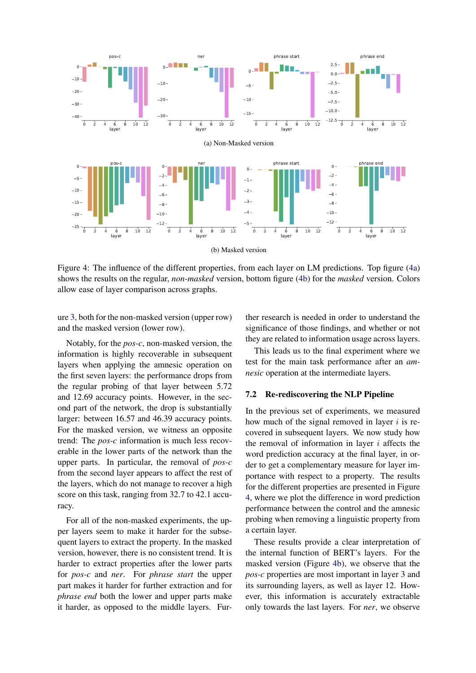<span id="page-8-2"></span><span id="page-8-1"></span><span id="page-8-0"></span>

Figure 4: The influence of the different properties, from each layer on LM predictions. Top figure [\(4a\)](#page-8-0) shows the results on the regular, *non-masked* version, bottom figure [\(4b\)](#page-8-1) for the *masked* version. Colors allow ease of layer comparison across graphs.

ure [3,](#page-7-6) both for the non-masked version (upper row) and the masked version (lower row).

Notably, for the *pos-c*, non-masked version, the information is highly recoverable in subsequent layers when applying the amnesic operation on the first seven layers: the performance drops from the regular probing of that layer between 5.72 and 12.69 accuracy points. However, in the second part of the network, the drop is substantially larger: between 16.57 and 46.39 accuracy points. For the masked version, we witness an opposite trend: The *pos-c* information is much less recoverable in the lower parts of the network than the upper parts. In particular, the removal of *pos-c* from the second layer appears to affect the rest of the layers, which do not manage to recover a high score on this task, ranging from 32.7 to 42.1 accuracy.

For all of the non-masked experiments, the upper layers seem to make it harder for the subsequent layers to extract the property. In the masked version, however, there is no consistent trend. It is harder to extract properties after the lower parts for *pos-c* and *ner*. For *phrase start* the upper part makes it harder for further extraction and for *phrase end* both the lower and upper parts make it harder, as opposed to the middle layers. Further research is needed in order to understand the significance of those findings, and whether or not they are related to information usage across layers.

This leads us to the final experiment where we test for the main task performance after an *amnesic* operation at the intermediate layers.

### 7.2 Re-rediscovering the NLP Pipeline

In the previous set of experiments, we measured how much of the signal removed in layer  $i$  is recovered in subsequent layers. We now study how the removal of information in layer  $i$  affects the word prediction accuracy at the final layer, in order to get a complementary measure for layer importance with respect to a property. The results for the different properties are presented in Figure [4,](#page-8-2) where we plot the difference in word prediction performance between the control and the amnesic probing when removing a linguistic property from a certain layer.

These results provide a clear interpretation of the internal function of BERT's layers. For the masked version (Figure [4b\)](#page-8-1), we observe that the *pos-c* properties are most important in layer 3 and its surrounding layers, as well as layer 12. However, this information is accurately extractable only towards the last layers. For *ner*, we observe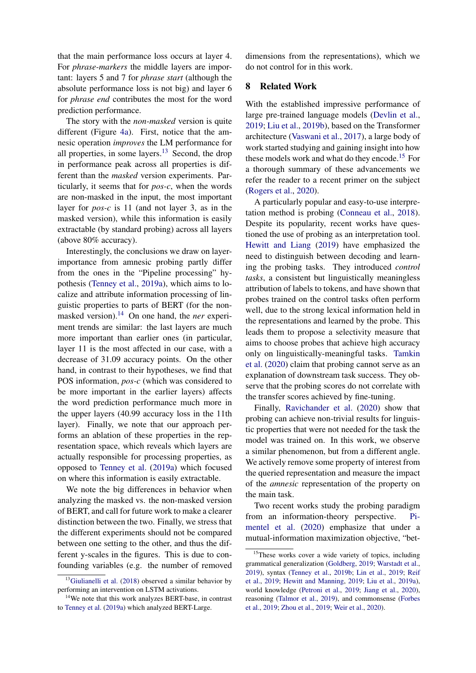that the main performance loss occurs at layer 4. For *phrase-markers* the middle layers are important: layers 5 and 7 for *phrase start* (although the absolute performance loss is not big) and layer 6 for *phrase end* contributes the most for the word prediction performance.

The story with the *non-masked* version is quite different (Figure [4a\)](#page-8-0). First, notice that the amnesic operation *improves* the LM performance for all properties, in some layers. $13$  Second, the drop in performance peak across all properties is different than the *masked* version experiments. Particularly, it seems that for *pos-c*, when the words are non-masked in the input, the most important layer for *pos-c* is 11 (and not layer 3, as in the masked version), while this information is easily extractable (by standard probing) across all layers (above 80% accuracy).

Interestingly, the conclusions we draw on layerimportance from amnesic probing partly differ from the ones in the "Pipeline processing" hypothesis [\(Tenney et al.,](#page-13-1) [2019a\)](#page-13-1), which aims to localize and attribute information processing of linguistic properties to parts of BERT (for the non-masked version).<sup>[14](#page-9-1)</sup> On one hand, the *ner* experiment trends are similar: the last layers are much more important than earlier ones (in particular, layer 11 is the most affected in our case, with a decrease of 31.09 accuracy points. On the other hand, in contrast to their hypotheses, we find that POS information, *pos-c* (which was considered to be more important in the earlier layers) affects the word prediction performance much more in the upper layers (40.99 accuracy loss in the 11th layer). Finally, we note that our approach performs an ablation of these properties in the representation space, which reveals which layers are actually responsible for processing properties, as opposed to [Tenney et al.](#page-13-1) [\(2019a\)](#page-13-1) which focused on where this information is easily extractable.

We note the big differences in behavior when analyzing the masked vs. the non-masked version of BERT, and call for future work to make a clearer distinction between the two. Finally, we stress that the different experiments should not be compared between one setting to the other, and thus the different y-scales in the figures. This is due to confounding variables (e.g. the number of removed

dimensions from the representations), which we do not control for in this work.

# 8 Related Work

With the established impressive performance of large pre-trained language models [\(Devlin et al.,](#page-11-0) [2019;](#page-11-0) [Liu et al.,](#page-12-1) [2019b\)](#page-12-1), based on the Transformer architecture [\(Vaswani et al.,](#page-13-4) [2017\)](#page-13-4), a large body of work started studying and gaining insight into how these models work and what do they encode.<sup>[15](#page-9-2)</sup> For a thorough summary of these advancements we refer the reader to a recent primer on the subject [\(Rogers et al.,](#page-13-5) [2020\)](#page-13-5).

A particularly popular and easy-to-use interpretation method is probing [\(Conneau et al.,](#page-11-1) [2018\)](#page-11-1). Despite its popularity, recent works have questioned the use of probing as an interpretation tool. [Hewitt and Liang](#page-11-3) [\(2019\)](#page-11-3) have emphasized the need to distinguish between decoding and learning the probing tasks. They introduced *control tasks*, a consistent but linguistically meaningless attribution of labels to tokens, and have shown that probes trained on the control tasks often perform well, due to the strong lexical information held in the representations and learned by the probe. This leads them to propose a selectivity measure that aims to choose probes that achieve high accuracy only on linguistically-meaningful tasks. [Tamkin](#page-13-6) [et al.](#page-13-6) [\(2020\)](#page-13-6) claim that probing cannot serve as an explanation of downstream task success. They observe that the probing scores do not correlate with the transfer scores achieved by fine-tuning.

Finally, [Ravichander et al.](#page-12-3) [\(2020\)](#page-12-3) show that probing can achieve non-trivial results for linguistic properties that were not needed for the task the model was trained on. In this work, we observe a similar phenomenon, but from a different angle. We actively remove some property of interest from the queried representation and measure the impact of the *amnesic* representation of the property on the main task.

Two recent works study the probing paradigm from an information-theory perspective. [Pi](#page-12-10)[mentel et al.](#page-12-10) [\(2020\)](#page-12-10) emphasize that under a mutual-information maximization objective, "bet-

<span id="page-9-0"></span> $13$ [Giulianelli et al.](#page-11-9) [\(2018\)](#page-11-9) observed a similar behavior by performing an intervention on LSTM activations.

<span id="page-9-1"></span><sup>&</sup>lt;sup>14</sup>We note that this work analyzes BERT-base, in contrast to [Tenney et al.](#page-13-1) [\(2019a\)](#page-13-1) which analyzed BERT-Large.

<span id="page-9-2"></span><sup>&</sup>lt;sup>15</sup>These works cover a wide variety of topics, including grammatical generalization [\(Goldberg,](#page-11-10) [2019;](#page-11-10) [Warstadt et al.,](#page-13-7) [2019\)](#page-13-7), syntax [\(Tenney et al.,](#page-13-8) [2019b;](#page-13-8) [Lin et al.,](#page-12-11) [2019;](#page-12-11) [Reif](#page-12-12) [et al.,](#page-12-12) [2019;](#page-12-12) [Hewitt and Manning,](#page-11-7) [2019;](#page-11-7) [Liu et al.,](#page-12-8) [2019a\)](#page-12-8), world knowledge [\(Petroni et al.,](#page-12-13) [2019;](#page-12-13) [Jiang et al.,](#page-12-14) [2020\)](#page-12-14), reasoning [\(Talmor et al.,](#page-13-9) [2019\)](#page-13-9), and commonsense [\(Forbes](#page-11-11) [et al.,](#page-11-11) [2019;](#page-11-11) [Zhou et al.,](#page-13-10) [2019;](#page-13-10) [Weir et al.,](#page-13-11) [2020\)](#page-13-11).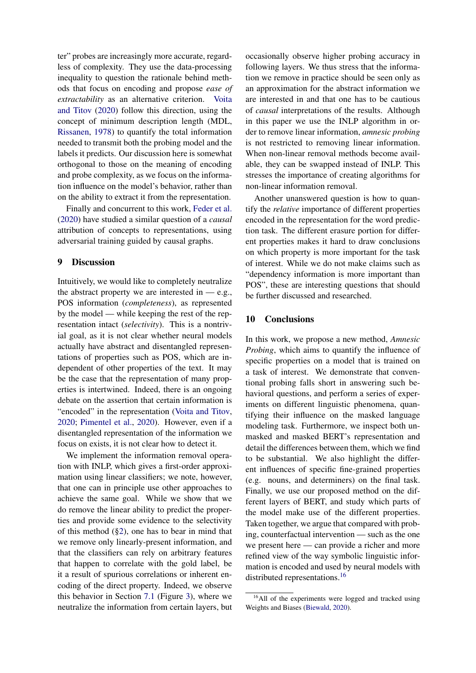ter" probes are increasingly more accurate, regardless of complexity. They use the data-processing inequality to question the rationale behind methods that focus on encoding and propose *ease of extractability* as an alternative criterion. [Voita](#page-13-12) [and Titov](#page-13-12) [\(2020\)](#page-13-12) follow this direction, using the concept of minimum description length (MDL, [Rissanen,](#page-12-15) [1978\)](#page-12-15) to quantify the total information needed to transmit both the probing model and the labels it predicts. Our discussion here is somewhat orthogonal to those on the meaning of encoding and probe complexity, as we focus on the information influence on the model's behavior, rather than on the ability to extract it from the representation.

Finally and concurrent to this work, [Feder et al.](#page-11-12) [\(2020\)](#page-11-12) have studied a similar question of a *causal* attribution of concepts to representations, using adversarial training guided by causal graphs.

# 9 Discussion

Intuitively, we would like to completely neutralize the abstract property we are interested in  $-$  e.g., POS information (*completeness*), as represented by the model — while keeping the rest of the representation intact (*selectivity*). This is a nontrivial goal, as it is not clear whether neural models actually have abstract and disentangled representations of properties such as POS, which are independent of other properties of the text. It may be the case that the representation of many properties is intertwined. Indeed, there is an ongoing debate on the assertion that certain information is "encoded" in the representation [\(Voita and Titov,](#page-13-12) [2020;](#page-13-12) [Pimentel et al.,](#page-12-10) [2020\)](#page-12-10). However, even if a disentangled representation of the information we focus on exists, it is not clear how to detect it.

We implement the information removal operation with INLP, which gives a first-order approximation using linear classifiers; we note, however, that one can in principle use other approaches to achieve the same goal. While we show that we do remove the linear ability to predict the properties and provide some evidence to the selectivity of this method ([§2\)](#page-1-1), one has to bear in mind that we remove only linearly-present information, and that the classifiers can rely on arbitrary features that happen to correlate with the gold label, be it a result of spurious correlations or inherent encoding of the direct property. Indeed, we observe this behavior in Section [7.1](#page-7-7) (Figure [3\)](#page-7-6), where we neutralize the information from certain layers, but

occasionally observe higher probing accuracy in following layers. We thus stress that the information we remove in practice should be seen only as an approximation for the abstract information we are interested in and that one has to be cautious of *causal* interpretations of the results. Although in this paper we use the INLP algorithm in order to remove linear information, *amnesic probing* is not restricted to removing linear information. When non-linear removal methods become available, they can be swapped instead of INLP. This stresses the importance of creating algorithms for non-linear information removal.

Another unanswered question is how to quantify the *relative* importance of different properties encoded in the representation for the word prediction task. The different erasure portion for different properties makes it hard to draw conclusions on which property is more important for the task of interest. While we do not make claims such as "dependency information is more important than POS", these are interesting questions that should be further discussed and researched.

# 10 Conclusions

In this work, we propose a new method, *Amnesic Probing*, which aims to quantify the influence of specific properties on a model that is trained on a task of interest. We demonstrate that conventional probing falls short in answering such behavioral questions, and perform a series of experiments on different linguistic phenomena, quantifying their influence on the masked language modeling task. Furthermore, we inspect both unmasked and masked BERT's representation and detail the differences between them, which we find to be substantial. We also highlight the different influences of specific fine-grained properties (e.g. nouns, and determiners) on the final task. Finally, we use our proposed method on the different layers of BERT, and study which parts of the model make use of the different properties. Taken together, we argue that compared with probing, counterfactual intervention — such as the one we present here — can provide a richer and more refined view of the way symbolic linguistic information is encoded and used by neural models with distributed representations.<sup>[16](#page-10-0)</sup>

<span id="page-10-0"></span><sup>&</sup>lt;sup>16</sup>All of the experiments were logged and tracked using Weights and Biases [\(Biewald,](#page-11-13) [2020\)](#page-11-13).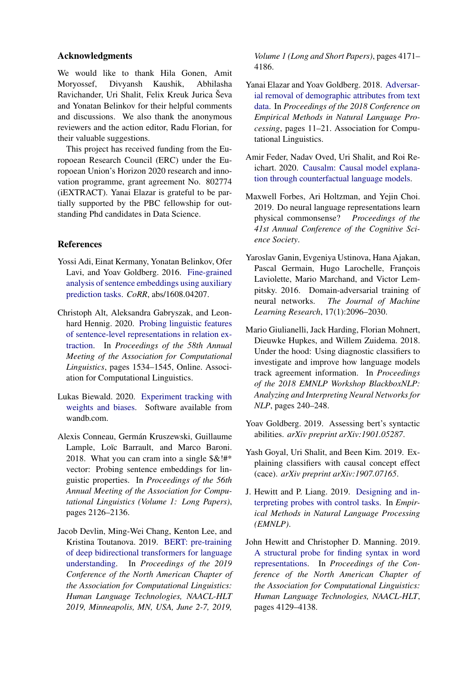### Acknowledgments

We would like to thank Hila Gonen, Amit Moryossef, Divyansh Kaushik, Abhilasha Ravichander, Uri Shalit, Felix Kreuk Jurica Ševa and Yonatan Belinkov for their helpful comments and discussions. We also thank the anonymous reviewers and the action editor, Radu Florian, for their valuable suggestions.

This project has received funding from the Europoean Research Council (ERC) under the Europoean Union's Horizon 2020 research and innovation programme, grant agreement No. 802774 (iEXTRACT). Yanai Elazar is grateful to be partially supported by the PBC fellowship for outstanding Phd candidates in Data Science.

# References

- <span id="page-11-2"></span>Yossi Adi, Einat Kermany, Yonatan Belinkov, Ofer Lavi, and Yoav Goldberg. 2016. [Fine-grained](http://arxiv.org/abs/1608.04207) [analysis of sentence embeddings using auxiliary](http://arxiv.org/abs/1608.04207) [prediction tasks.](http://arxiv.org/abs/1608.04207) *CoRR*, abs/1608.04207.
- <span id="page-11-8"></span>Christoph Alt, Aleksandra Gabryszak, and Leonhard Hennig. 2020. [Probing linguistic features](https://www.aclweb.org/anthology/2020.acl-main.140) [of sentence-level representations in relation ex](https://www.aclweb.org/anthology/2020.acl-main.140)[traction.](https://www.aclweb.org/anthology/2020.acl-main.140) In *Proceedings of the 58th Annual Meeting of the Association for Computational Linguistics*, pages 1534–1545, Online. Association for Computational Linguistics.
- <span id="page-11-13"></span>Lukas Biewald. 2020. [Experiment tracking with](https://www.wandb.com/) [weights and biases.](https://www.wandb.com/) Software available from wandb.com.
- <span id="page-11-1"></span>Alexis Conneau, Germán Kruszewski, Guillaume Lample, Loïc Barrault, and Marco Baroni. 2018. What you can cram into a single  $\&$ !#\* vector: Probing sentence embeddings for linguistic properties. In *Proceedings of the 56th Annual Meeting of the Association for Computational Linguistics (Volume 1: Long Papers)*, pages 2126–2136.
- <span id="page-11-0"></span>Jacob Devlin, Ming-Wei Chang, Kenton Lee, and Kristina Toutanova. 2019. [BERT: pre-training](https://www.aclweb.org/anthology/N19-1423/) [of deep bidirectional transformers for language](https://www.aclweb.org/anthology/N19-1423/) [understanding.](https://www.aclweb.org/anthology/N19-1423/) In *Proceedings of the 2019 Conference of the North American Chapter of the Association for Computational Linguistics: Human Language Technologies, NAACL-HLT 2019, Minneapolis, MN, USA, June 2-7, 2019,*

*Volume 1 (Long and Short Papers)*, pages 4171– 4186.

- <span id="page-11-6"></span>Yanai Elazar and Yoav Goldberg. 2018. [Adversar](http://aclweb.org/anthology/D18-1002)[ial removal of demographic attributes from text](http://aclweb.org/anthology/D18-1002) [data.](http://aclweb.org/anthology/D18-1002) In *Proceedings of the 2018 Conference on Empirical Methods in Natural Language Processing*, pages 11–21. Association for Computational Linguistics.
- <span id="page-11-12"></span>Amir Feder, Nadav Oved, Uri Shalit, and Roi Reichart. 2020. [Causalm: Causal model explana](http://arxiv.org/abs/arXiv:2005.13407)[tion through counterfactual language models.](http://arxiv.org/abs/arXiv:2005.13407)
- <span id="page-11-11"></span>Maxwell Forbes, Ari Holtzman, and Yejin Choi. 2019. Do neural language representations learn physical commonsense? *Proceedings of the 41st Annual Conference of the Cognitive Science Society*.
- <span id="page-11-5"></span>Yaroslav Ganin, Evgeniya Ustinova, Hana Ajakan, Pascal Germain, Hugo Larochelle, François Laviolette, Mario Marchand, and Victor Lempitsky. 2016. Domain-adversarial training of neural networks. *The Journal of Machine Learning Research*, 17(1):2096–2030.
- <span id="page-11-9"></span>Mario Giulianelli, Jack Harding, Florian Mohnert, Dieuwke Hupkes, and Willem Zuidema. 2018. Under the hood: Using diagnostic classifiers to investigate and improve how language models track agreement information. In *Proceedings of the 2018 EMNLP Workshop BlackboxNLP: Analyzing and Interpreting Neural Networks for NLP*, pages 240–248.
- <span id="page-11-10"></span>Yoav Goldberg. 2019. Assessing bert's syntactic abilities. *arXiv preprint arXiv:1901.05287*.
- <span id="page-11-4"></span>Yash Goyal, Uri Shalit, and Been Kim. 2019. Explaining classifiers with causal concept effect (cace). *arXiv preprint arXiv:1907.07165*.
- <span id="page-11-3"></span>J. Hewitt and P. Liang. 2019. [Designing and in](https://nlp.stanford.edu/pubs/hewitt2019control.pdf)[terpreting probes with control tasks.](https://nlp.stanford.edu/pubs/hewitt2019control.pdf) In *Empirical Methods in Natural Language Processing (EMNLP)*.
- <span id="page-11-7"></span>John Hewitt and Christopher D. Manning. 2019. [A structural probe for finding syntax in word](https://aclweb.org/anthology/papers/N/N19/N19-1419/) [representations.](https://aclweb.org/anthology/papers/N/N19/N19-1419/) In *Proceedings of the Conference of the North American Chapter of the Association for Computational Linguistics: Human Language Technologies, NAACL-HLT*, pages 4129–4138.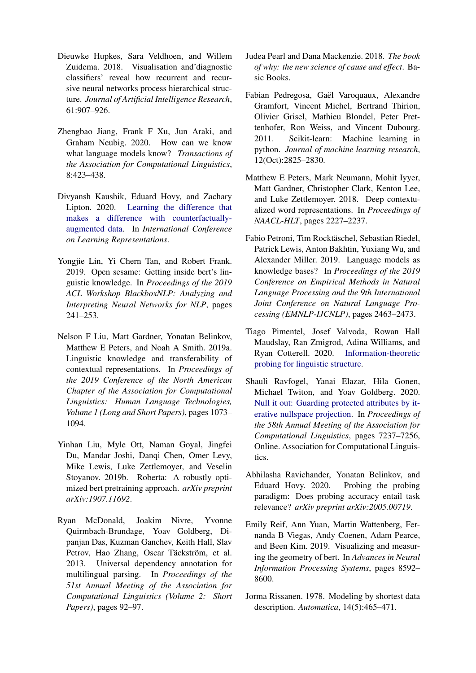- <span id="page-12-2"></span>Dieuwke Hupkes, Sara Veldhoen, and Willem Zuidema. 2018. Visualisation and'diagnostic classifiers' reveal how recurrent and recursive neural networks process hierarchical structure. *Journal of Artificial Intelligence Research*, 61:907–926.
- <span id="page-12-14"></span>Zhengbao Jiang, Frank F Xu, Jun Araki, and Graham Neubig. 2020. How can we know what language models know? *Transactions of the Association for Computational Linguistics*, 8:423–438.
- <span id="page-12-4"></span>Divyansh Kaushik, Eduard Hovy, and Zachary Lipton. 2020. [Learning the difference that](https://openreview.net/forum?id=Sklgs0NFvr) [makes a difference with counterfactually](https://openreview.net/forum?id=Sklgs0NFvr)[augmented data.](https://openreview.net/forum?id=Sklgs0NFvr) In *International Conference on Learning Representations*.
- <span id="page-12-11"></span>Yongjie Lin, Yi Chern Tan, and Robert Frank. 2019. Open sesame: Getting inside bert's linguistic knowledge. In *Proceedings of the 2019 ACL Workshop BlackboxNLP: Analyzing and Interpreting Neural Networks for NLP*, pages 241–253.
- <span id="page-12-8"></span>Nelson F Liu, Matt Gardner, Yonatan Belinkov, Matthew E Peters, and Noah A Smith. 2019a. Linguistic knowledge and transferability of contextual representations. In *Proceedings of the 2019 Conference of the North American Chapter of the Association for Computational Linguistics: Human Language Technologies, Volume 1 (Long and Short Papers)*, pages 1073– 1094.
- <span id="page-12-1"></span>Yinhan Liu, Myle Ott, Naman Goyal, Jingfei Du, Mandar Joshi, Danqi Chen, Omer Levy, Mike Lewis, Luke Zettlemoyer, and Veselin Stoyanov. 2019b. Roberta: A robustly optimized bert pretraining approach. *arXiv preprint arXiv:1907.11692*.
- <span id="page-12-9"></span>Ryan McDonald, Joakim Nivre, Yvonne Quirmbach-Brundage, Yoav Goldberg, Dipanjan Das, Kuzman Ganchev, Keith Hall, Slav Petrov, Hao Zhang, Oscar Täckström, et al. 2013. Universal dependency annotation for multilingual parsing. In *Proceedings of the 51st Annual Meeting of the Association for Computational Linguistics (Volume 2: Short Papers)*, pages 92–97.
- <span id="page-12-6"></span>Judea Pearl and Dana Mackenzie. 2018. *The book of why: the new science of cause and effect*. Basic Books.
- <span id="page-12-7"></span>Fabian Pedregosa, Gaël Varoquaux, Alexandre Gramfort, Vincent Michel, Bertrand Thirion, Olivier Grisel, Mathieu Blondel, Peter Prettenhofer, Ron Weiss, and Vincent Dubourg. 2011. Scikit-learn: Machine learning in python. *Journal of machine learning research*, 12(Oct):2825–2830.
- <span id="page-12-0"></span>Matthew E Peters, Mark Neumann, Mohit Iyyer, Matt Gardner, Christopher Clark, Kenton Lee, and Luke Zettlemoyer. 2018. Deep contextualized word representations. In *Proceedings of NAACL-HLT*, pages 2227–2237.
- <span id="page-12-13"></span>Fabio Petroni, Tim Rocktäschel, Sebastian Riedel, Patrick Lewis, Anton Bakhtin, Yuxiang Wu, and Alexander Miller. 2019. Language models as knowledge bases? In *Proceedings of the 2019 Conference on Empirical Methods in Natural Language Processing and the 9th International Joint Conference on Natural Language Processing (EMNLP-IJCNLP)*, pages 2463–2473.
- <span id="page-12-10"></span>Tiago Pimentel, Josef Valvoda, Rowan Hall Maudslay, Ran Zmigrod, Adina Williams, and Ryan Cotterell. 2020. [Information-theoretic](http://arxiv.org/abs/2004.03061) [probing for linguistic structure.](http://arxiv.org/abs/2004.03061)
- <span id="page-12-5"></span>Shauli Ravfogel, Yanai Elazar, Hila Gonen, Michael Twiton, and Yoav Goldberg. 2020. [Null it out: Guarding protected attributes by it](https://www.aclweb.org/anthology/2020.acl-main.647)[erative nullspace projection.](https://www.aclweb.org/anthology/2020.acl-main.647) In *Proceedings of the 58th Annual Meeting of the Association for Computational Linguistics*, pages 7237–7256, Online. Association for Computational Linguistics.
- <span id="page-12-3"></span>Abhilasha Ravichander, Yonatan Belinkov, and Eduard Hovy. 2020. Probing the probing paradigm: Does probing accuracy entail task relevance? *arXiv preprint arXiv:2005.00719*.
- <span id="page-12-12"></span>Emily Reif, Ann Yuan, Martin Wattenberg, Fernanda B Viegas, Andy Coenen, Adam Pearce, and Been Kim. 2019. Visualizing and measuring the geometry of bert. In *Advances in Neural Information Processing Systems*, pages 8592– 8600.
- <span id="page-12-15"></span>Jorma Rissanen. 1978. Modeling by shortest data description. *Automatica*, 14(5):465–471.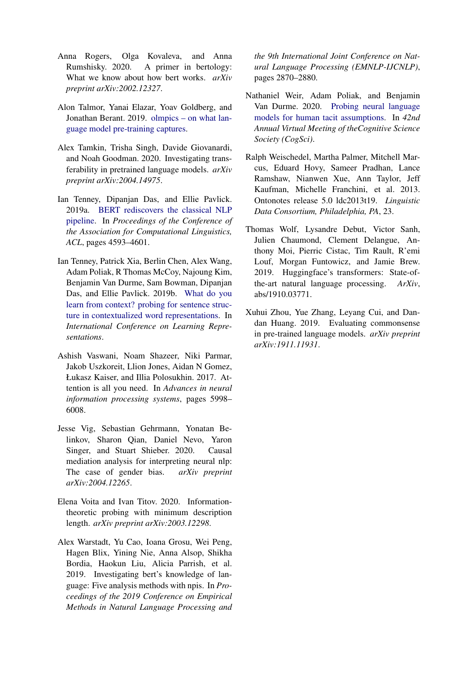- <span id="page-13-5"></span>Anna Rogers, Olga Kovaleva, and Anna Rumshisky. 2020. A primer in bertology: What we know about how bert works. *arXiv preprint arXiv:2002.12327*.
- <span id="page-13-9"></span>Alon Talmor, Yanai Elazar, Yoav Goldberg, and Jonathan Berant. 2019. [olmpics – on what lan](http://arxiv.org/abs/1912.13283)[guage model pre-training captures.](http://arxiv.org/abs/1912.13283)
- <span id="page-13-6"></span>Alex Tamkin, Trisha Singh, Davide Giovanardi, and Noah Goodman. 2020. Investigating transferability in pretrained language models. *arXiv preprint arXiv:2004.14975*.
- <span id="page-13-1"></span>Ian Tenney, Dipanjan Das, and Ellie Pavlick. 2019a. [BERT rediscovers the classical NLP](https://www.aclweb.org/anthology/P19-1452/) [pipeline.](https://www.aclweb.org/anthology/P19-1452/) In *Proceedings of the Conference of the Association for Computational Linguistics, ACL*, pages 4593–4601.
- <span id="page-13-8"></span>Ian Tenney, Patrick Xia, Berlin Chen, Alex Wang, Adam Poliak, R Thomas McCoy, Najoung Kim, Benjamin Van Durme, Sam Bowman, Dipanjan Das, and Ellie Pavlick. 2019b. [What do you](https://openreview.net/forum?id=SJzSgnRcKX) [learn from context? probing for sentence struc](https://openreview.net/forum?id=SJzSgnRcKX)[ture in contextualized word representations.](https://openreview.net/forum?id=SJzSgnRcKX) In *International Conference on Learning Representations*.
- <span id="page-13-4"></span>Ashish Vaswani, Noam Shazeer, Niki Parmar, Jakob Uszkoreit, Llion Jones, Aidan N Gomez, Łukasz Kaiser, and Illia Polosukhin. 2017. Attention is all you need. In *Advances in neural information processing systems*, pages 5998– 6008.
- <span id="page-13-0"></span>Jesse Vig, Sebastian Gehrmann, Yonatan Belinkov, Sharon Qian, Daniel Nevo, Yaron Singer, and Stuart Shieber. 2020. Causal mediation analysis for interpreting neural nlp: The case of gender bias. *arXiv preprint arXiv:2004.12265*.
- <span id="page-13-12"></span>Elena Voita and Ivan Titov. 2020. Informationtheoretic probing with minimum description length. *arXiv preprint arXiv:2003.12298*.
- <span id="page-13-7"></span>Alex Warstadt, Yu Cao, Ioana Grosu, Wei Peng, Hagen Blix, Yining Nie, Anna Alsop, Shikha Bordia, Haokun Liu, Alicia Parrish, et al. 2019. Investigating bert's knowledge of language: Five analysis methods with npis. In *Proceedings of the 2019 Conference on Empirical Methods in Natural Language Processing and*

*the 9th International Joint Conference on Natural Language Processing (EMNLP-IJCNLP)*, pages 2870–2880.

- <span id="page-13-11"></span>Nathaniel Weir, Adam Poliak, and Benjamin Van Durme. 2020. [Probing neural language](https://cognitivesciencesociety.org/cogsci20/papers/0070/0070.pdf) [models for human tacit assumptions.](https://cognitivesciencesociety.org/cogsci20/papers/0070/0070.pdf) In *42nd Annual Virtual Meeting of theCognitive Science Society (CogSci)*.
- <span id="page-13-3"></span>Ralph Weischedel, Martha Palmer, Mitchell Marcus, Eduard Hovy, Sameer Pradhan, Lance Ramshaw, Nianwen Xue, Ann Taylor, Jeff Kaufman, Michelle Franchini, et al. 2013. Ontonotes release 5.0 ldc2013t19. *Linguistic Data Consortium, Philadelphia, PA*, 23.
- <span id="page-13-2"></span>Thomas Wolf, Lysandre Debut, Victor Sanh, Julien Chaumond, Clement Delangue, Anthony Moi, Pierric Cistac, Tim Rault, R'emi Louf, Morgan Funtowicz, and Jamie Brew. 2019. Huggingface's transformers: State-ofthe-art natural language processing. *ArXiv*, abs/1910.03771.
- <span id="page-13-10"></span>Xuhui Zhou, Yue Zhang, Leyang Cui, and Dandan Huang. 2019. Evaluating commonsense in pre-trained language models. *arXiv preprint arXiv:1911.11931*.